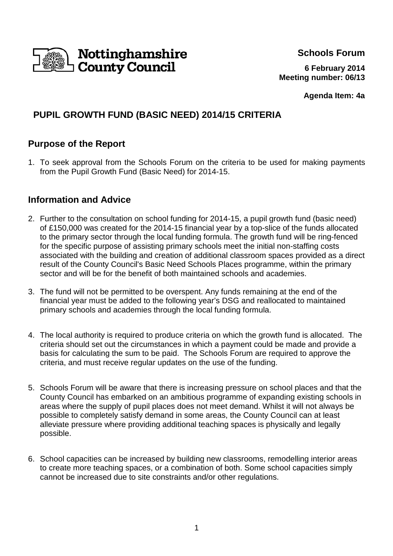

**Schools Forum**

**6 February 2014 Meeting number: 06/13**

**Agenda Item: 4a**

# **PUPIL GROWTH FUND (BASIC NEED) 2014/15 CRITERIA**

## **Purpose of the Report**

1. To seek approval from the Schools Forum on the criteria to be used for making payments from the Pupil Growth Fund (Basic Need) for 2014-15.

## **Information and Advice**

- 2. Further to the consultation on school funding for 2014-15, a pupil growth fund (basic need) of £150,000 was created for the 2014-15 financial year by a top-slice of the funds allocated to the primary sector through the local funding formula. The growth fund will be ring-fenced for the specific purpose of assisting primary schools meet the initial non-staffing costs associated with the building and creation of additional classroom spaces provided as a direct result of the County Council's Basic Need Schools Places programme, within the primary sector and will be for the benefit of both maintained schools and academies.
- 3. The fund will not be permitted to be overspent. Any funds remaining at the end of the financial year must be added to the following year's DSG and reallocated to maintained primary schools and academies through the local funding formula.
- 4. The local authority is required to produce criteria on which the growth fund is allocated. The criteria should set out the circumstances in which a payment could be made and provide a basis for calculating the sum to be paid. The Schools Forum are required to approve the criteria, and must receive regular updates on the use of the funding.
- 5. Schools Forum will be aware that there is increasing pressure on school places and that the County Council has embarked on an ambitious programme of expanding existing schools in areas where the supply of pupil places does not meet demand. Whilst it will not always be possible to completely satisfy demand in some areas, the County Council can at least alleviate pressure where providing additional teaching spaces is physically and legally possible.
- 6. School capacities can be increased by building new classrooms, remodelling interior areas to create more teaching spaces, or a combination of both. Some school capacities simply cannot be increased due to site constraints and/or other regulations.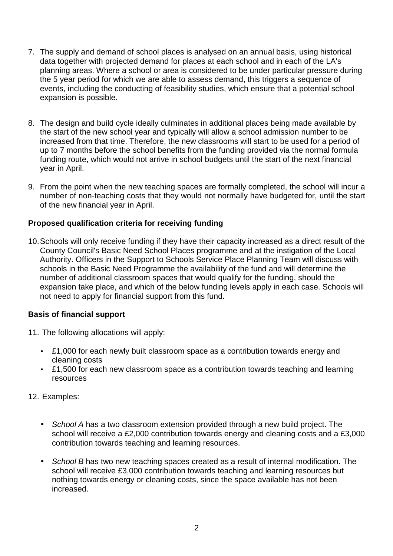- 7. The supply and demand of school places is analysed on an annual basis, using historical data together with projected demand for places at each school and in each of the LA's planning areas. Where a school or area is considered to be under particular pressure during the 5 year period for which we are able to assess demand, this triggers a sequence of events, including the conducting of feasibility studies, which ensure that a potential school expansion is possible.
- 8. The design and build cycle ideally culminates in additional places being made available by the start of the new school year and typically will allow a school admission number to be increased from that time. Therefore, the new classrooms will start to be used for a period of up to 7 months before the school benefits from the funding provided via the normal formula funding route, which would not arrive in school budgets until the start of the next financial year in April.
- 9. From the point when the new teaching spaces are formally completed, the school will incur a number of non-teaching costs that they would not normally have budgeted for, until the start of the new financial year in April.

### **Proposed qualification criteria for receiving funding**

10. Schools will only receive funding if they have their capacity increased as a direct result of the County Council's Basic Need School Places programme and at the instigation of the Local Authority. Officers in the Support to Schools Service Place Planning Team will discuss with schools in the Basic Need Programme the availability of the fund and will determine the number of additional classroom spaces that would qualify for the funding, should the expansion take place, and which of the below funding levels apply in each case. Schools will not need to apply for financial support from this fund.

### **Basis of financial support**

- 11. The following allocations will apply:
	- £1,000 for each newly built classroom space as a contribution towards energy and cleaning costs
	- £1,500 for each new classroom space as a contribution towards teaching and learning resources
- 12. Examples:
	- School A has a two classroom extension provided through a new build project. The school will receive a £2,000 contribution towards energy and cleaning costs and a £3,000 contribution towards teaching and learning resources.
	- School B has two new teaching spaces created as a result of internal modification. The school will receive £3,000 contribution towards teaching and learning resources but nothing towards energy or cleaning costs, since the space available has not been increased.